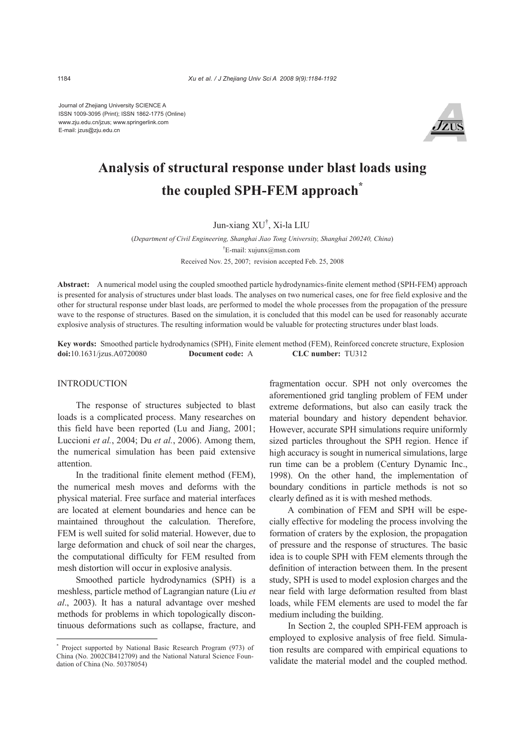Journal of Zhejiang University SCIENCE A ISSN 1009-3095 (Print); ISSN 1862-1775 (Online) www.zju.edu.cn/jzus; www.springerlink.com E-mail: jzus@zju.edu.cn



# **Analysis of structural response under blast loads using the coupled SPH-FEM approach\***

# Jun-xiang XU† , Xi-la LIU

(*Department of Civil Engineering, Shanghai Jiao Tong University, Shanghai 200240, China*) † E-mail: xujunx@msn.com Received Nov. 25, 2007; revision accepted Feb. 25, 2008

**Abstract:** A numerical model using the coupled smoothed particle hydrodynamics-finite element method (SPH-FEM) approach is presented for analysis of structures under blast loads. The analyses on two numerical cases, one for free field explosive and the other for structural response under blast loads, are performed to model the whole processes from the propagation of the pressure wave to the response of structures. Based on the simulation, it is concluded that this model can be used for reasonably accurate explosive analysis of structures. The resulting information would be valuable for protecting structures under blast loads.

**Key words:** Smoothed particle hydrodynamics (SPH), Finite element method (FEM), Reinforced concrete structure, Explosion **doi:**10.1631/jzus.A0720080 **Document code:** A **CLC number:** TU312

#### **INTRODUCTION**

The response of structures subjected to blast loads is a complicated process. Many researches on this field have been reported (Lu and Jiang, 2001; Luccioni *et al.*, 2004; Du *et al.*, 2006). Among them, the numerical simulation has been paid extensive attention.

In the traditional finite element method (FEM), the numerical mesh moves and deforms with the physical material. Free surface and material interfaces are located at element boundaries and hence can be maintained throughout the calculation. Therefore, FEM is well suited for solid material. However, due to large deformation and chuck of soil near the charges, the computational difficulty for FEM resulted from mesh distortion will occur in explosive analysis.

Smoothed particle hydrodynamics (SPH) is a meshless, particle method of Lagrangian nature (Liu *et al*., 2003). It has a natural advantage over meshed methods for problems in which topologically discontinuous deformations such as collapse, fracture, and fragmentation occur. SPH not only overcomes the aforementioned grid tangling problem of FEM under extreme deformations, but also can easily track the material boundary and history dependent behavior. However, accurate SPH simulations require uniformly sized particles throughout the SPH region. Hence if high accuracy is sought in numerical simulations, large run time can be a problem (Century Dynamic Inc., 1998). On the other hand, the implementation of boundary conditions in particle methods is not so clearly defined as it is with meshed methods.

A combination of FEM and SPH will be especially effective for modeling the process involving the formation of craters by the explosion, the propagation of pressure and the response of structures. The basic idea is to couple SPH with FEM elements through the definition of interaction between them. In the present study, SPH is used to model explosion charges and the near field with large deformation resulted from blast loads, while FEM elements are used to model the far medium including the building.

In Section 2, the coupled SPH-FEM approach is employed to explosive analysis of free field. Simulation results are compared with empirical equations to validate the material model and the coupled method.

<sup>\*</sup> Project supported by National Basic Research Program (973) of China (No. 2002CB412709) and the National Natural Science Foundation of China (No. 50378054)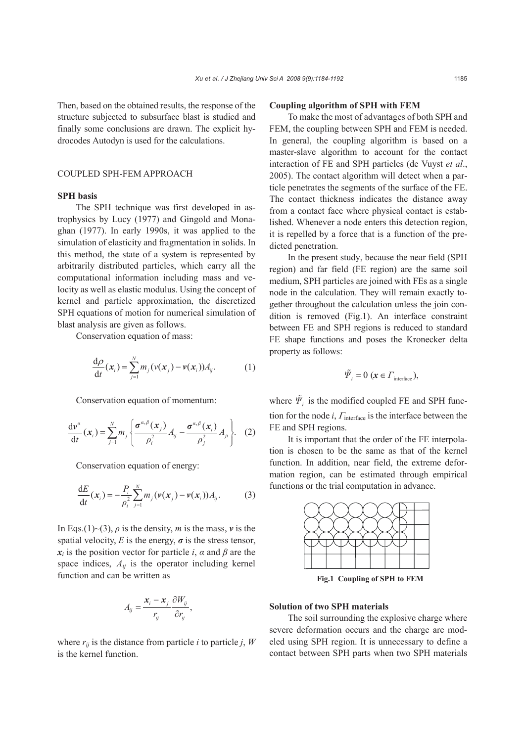Then, based on the obtained results, the response of the structure subjected to subsurface blast is studied and finally some conclusions are drawn. The explicit hydrocodes Autodyn is used for the calculations.

# COUPLED SPH-FEM APPROACH

#### **SPH basis**

The SPH technique was first developed in astrophysics by Lucy (1977) and Gingold and Monaghan (1977). In early 1990s, it was applied to the simulation of elasticity and fragmentation in solids. In this method, the state of a system is represented by arbitrarily distributed particles, which carry all the computational information including mass and velocity as well as elastic modulus. Using the concept of kernel and particle approximation, the discretized SPH equations of motion for numerical simulation of blast analysis are given as follows.

Conservation equation of mass:

$$
\frac{\mathrm{d}\rho}{\mathrm{d}t}(x_i) = \sum_{j=1}^N m_j \left(v(x_j) - v(x_i)\right) A_j. \tag{1}
$$

Conservation equation of momentum:

$$
\frac{\mathrm{d}\boldsymbol{v}^{a}}{\mathrm{d}t}(\boldsymbol{x}_{i})=\sum_{j=1}^{N}m_{j}\left\{\frac{\boldsymbol{\sigma}^{a,\beta}(\boldsymbol{x}_{j})}{\rho_{i}^{2}}A_{ij}-\frac{\boldsymbol{\sigma}^{a,\beta}(\boldsymbol{x}_{i})}{\rho_{j}^{2}}A_{ji}\right\}.\quad(2)
$$

Conservation equation of energy:

$$
\frac{dE}{dt}(x_i) = -\frac{P_i}{\rho_i^2} \sum_{j=1}^{N} m_j (\nu(x_j) - \nu(x_i)) A_j.
$$
 (3)

In Eqs.(1)~(3),  $\rho$  is the density, *m* is the mass, *v* is the spatial velocity, *E* is the energy,  $\sigma$  is the stress tensor,  $x_i$  is the position vector for particle *i*,  $\alpha$  and  $\beta$  are the space indices,  $A_{ii}$  is the operator including kernel function and can be written as

$$
A_{ij} = \frac{x_i - x_j}{r_{ij}} \frac{\partial W_{ij}}{\partial r_{ij}},
$$

where  $r_{ij}$  is the distance from particle *i* to particle *j*, *W* is the kernel function.

#### **Coupling algorithm of SPH with FEM**

To make the most of advantages of both SPH and FEM, the coupling between SPH and FEM is needed. In general, the coupling algorithm is based on a master-slave algorithm to account for the contact interaction of FE and SPH particles (de Vuyst *et al*., 2005). The contact algorithm will detect when a particle penetrates the segments of the surface of the FE. The contact thickness indicates the distance away from a contact face where physical contact is established. Whenever a node enters this detection region, it is repelled by a force that is a function of the predicted penetration.

In the present study, because the near field (SPH region) and far field (FE region) are the same soil medium, SPH particles are joined with FEs as a single node in the calculation. They will remain exactly together throughout the calculation unless the join condition is removed (Fig.1). An interface constraint between FE and SPH regions is reduced to standard FE shape functions and poses the Kronecker delta property as follows:

$$
\tilde{\varPsi}_i = 0 \; (\boldsymbol{x} \in \boldsymbol{\varGamma}_{\text{interface}}),
$$

where  $\tilde{\Psi}_i$  is the modified coupled FE and SPH function for the node *i*,  $\Gamma$ <sub>interface</sub> is the interface between the FE and SPH regions.

It is important that the order of the FE interpolation is chosen to be the same as that of the kernel function. In addition, near field, the extreme deformation region, can be estimated through empirical functions or the trial computation in advance.



**Fig.1 Coupling of SPH to FEM**

#### **Solution of two SPH materials**

The soil surrounding the explosive charge where severe deformation occurs and the charge are modeled using SPH region. It is unnecessary to define a contact between SPH parts when two SPH materials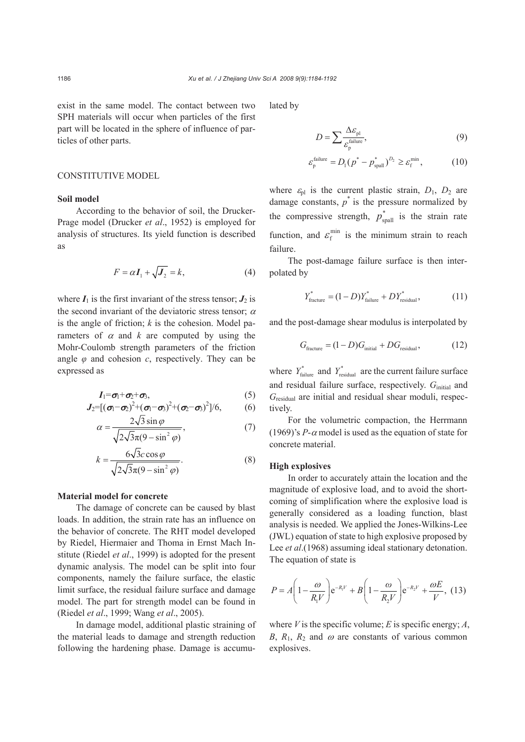exist in the same model. The contact between two SPH materials will occur when particles of the first part will be located in the sphere of influence of particles of other parts.

# CONSTITUTIVE MODEL

# **Soil model**

According to the behavior of soil, the Drucker-Prage model (Drucker *et al*., 1952) is employed for analysis of structures. Its yield function is described as

$$
F = \alpha I_1 + \sqrt{J_2} = k,\tag{4}
$$

where  $I_1$  is the first invariant of the stress tensor;  $J_2$  is the second invariant of the deviatoric stress tensor;  $\alpha$ is the angle of friction; *k* is the cohesion. Model parameters of  $\alpha$  and  $k$  are computed by using the Mohr-Coulomb strength parameters of the friction angle  $\varphi$  and cohesion  $c$ , respectively. They can be expressed as

$$
I_1 = \sigma_1 + \sigma_2 + \sigma_3, \tag{5}
$$

$$
J_2=[\left(\sigma_1-\sigma_2\right)^2+(\sigma_1-\sigma_3)^2+(\sigma_2-\sigma_3)^2]/6, \qquad (6)
$$

$$
\alpha = \frac{2\sqrt{3}\sin\varphi}{\sqrt{2\sqrt{3}\pi(9-\sin^2\varphi)}},\tag{7}
$$

$$
k = \frac{6\sqrt{3c}\cos\varphi}{\sqrt{2\sqrt{3}\pi(9-\sin^2\varphi)}}.\tag{8}
$$

#### **Material model for concrete**

The damage of concrete can be caused by blast loads. In addition, the strain rate has an influence on the behavior of concrete. The RHT model developed by Riedel, Hiermaier and Thoma in Ernst Mach Institute (Riedel *et al*., 1999) is adopted for the present dynamic analysis. The model can be split into four components, namely the failure surface, the elastic limit surface, the residual failure surface and damage model. The part for strength model can be found in (Riedel *et al*., 1999; Wang *et al*., 2005).

In damage model, additional plastic straining of the material leads to damage and strength reduction following the hardening phase. Damage is accumulated by

$$
D = \sum \frac{\Delta \mathcal{E}_{\text{pl}}}{\mathcal{E}_{\text{p}}^{\text{failure}}},\tag{9}
$$

$$
\varepsilon_{\rm p}^{\rm failure} = D_{\rm l} (p^* - p^*_{\rm spall})^{D_2} \ge \varepsilon_{\rm f}^{\rm min},\tag{10}
$$

where  $\varepsilon_{\text{pl}}$  is the current plastic strain,  $D_1$ ,  $D_2$  are damage constants,  $p^*$  is the pressure normalized by the compressive strength,  $p_{\text{spall}}^*$  is the strain rate function, and  $\varepsilon_f^{\text{min}}$  is the minimum strain to reach failure.

The post-damage failure surface is then interpolated by

$$
Y_{\text{fracture}}^* = (1 - D)Y_{\text{failure}}^* + DY_{\text{residual}}^*,\tag{11}
$$

and the post-damage shear modulus is interpolated by

$$
G_{\text{fracture}} = (1 - D)G_{\text{initial}} + DG_{\text{residual}},\tag{12}
$$

where  $Y^*_{\text{failure}}$  and  $Y^*_{\text{residual}}$  are the current failure surface and residual failure surface, respectively. *G*initial and *G*residual are initial and residual shear moduli, respectively.

For the volumetric compaction, the Herrmann (1969)'s  $P-\alpha$  model is used as the equation of state for concrete material.

#### **High explosives**

In order to accurately attain the location and the magnitude of explosive load, and to avoid the shortcoming of simplification where the explosive load is generally considered as a loading function, blast analysis is needed. We applied the Jones-Wilkins-Lee (JWL) equation of state to high explosive proposed by Lee *et al.*(1968) assuming ideal stationary detonation. The equation of state is

$$
P = A\left(1 - \frac{\omega}{R_1 V}\right) e^{-R_1 V} + B\left(1 - \frac{\omega}{R_2 V}\right) e^{-R_2 V} + \frac{\omega E}{V}, (13)
$$

where  $V$  is the specific volume;  $E$  is specific energy;  $A$ , *B*,  $R_1$ ,  $R_2$  and  $\omega$  are constants of various common explosives.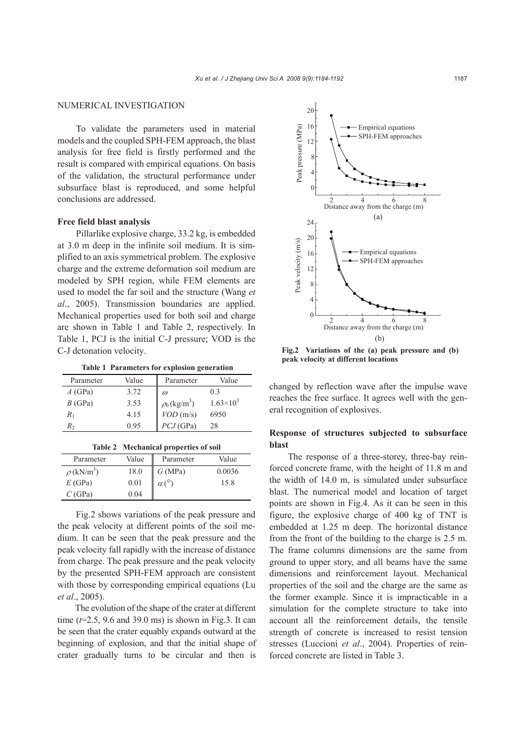# NUMERICAL INVESTIGATION

To validate the parameters used in material models and the coupled SPH-FEM approach, the blast analysis for free field is firstly performed and the result is compared with empirical equations. On basis of the validation, the structural performance under subsurface blast is reproduced, and some helpful conclusions are addressed.

## **Free field blast analysis**

Pillarlike explosive charge, 33.2 kg, is embedded at 3.0 m deep in the infinite soil medium. It is simplified to an axis symmetrical problem. The explosive charge and the extreme deformation soil medium are modeled by SPH region, while FEM elements are used to model the far soil and the structure (Wang *et al*., 2005). Transmission boundaries are applied. Mechanical properties used for both soil and charge are shown in Table 1 and Table 2, respectively. In Table 1, PCJ is the initial C-J pressure; VOD is the C-J detonation velocity.

**Table 1 Parameters for explosion generation** 

| Parameter | Value | Parameter                     | Value                |
|-----------|-------|-------------------------------|----------------------|
| $A$ (GPa) | 3.72  | $\omega$                      | 03                   |
| B(GPa)    | 3.53  | $\rho_0$ (kg/m <sup>3</sup> ) | $1.63 \times 10^{3}$ |
| $R_{1}$   | 4.15  | VOD(m/s)                      | 6950                 |
| R,        | 0.95  | $PCJ$ (GPa)                   | 28                   |

|  | Table 2 Mechanical properties of soil |  |
|--|---------------------------------------|--|
|  |                                       |  |

| Parameter                   | Value | Parameter | Value  |
|-----------------------------|-------|-----------|--------|
| $\rho$ (kN/m <sup>3</sup> ) | 18.0  | G(MPa)    | 0.0036 |
| E(GPa)                      | 0.01  |           | 15.8   |
| C(GPa)                      | 0.04  |           |        |

Fig.2 shows variations of the peak pressure and the peak velocity at different points of the soil medium. It can be seen that the peak pressure and the peak velocity fall rapidly with the increase of distance from charge. The peak pressure and the peak velocity by the presented SPH-FEM approach are consistent with those by corresponding empirical equations (Lu *et al*., 2005).

The evolution of the shape of the crater at different time (*t*=2.5, 9.6 and 39.0 ms) is shown in Fig.3. It can be seen that the crater equably expands outward at the beginning of explosion, and that the initial shape of crater gradually turns to be circular and then is



**Fig.2 Variations of the (a) peak pressure and (b) peak velocity at different locations** 

changed by reflection wave after the impulse wave reaches the free surface. It agrees well with the general recognition of explosives.

# **Response of structures subjected to subsurface blast**

The response of a three-storey, three-bay reinforced concrete frame, with the height of 11.8 m and the width of 14.0 m, is simulated under subsurface blast. The numerical model and location of target points are shown in Fig.4. As it can be seen in this figure, the explosive charge of 400 kg of TNT is embedded at 1.25 m deep. The horizontal distance from the front of the building to the charge is 2.5 m. The frame columns dimensions are the same from ground to upper story, and all beams have the same dimensions and reinforcement layout. Mechanical properties of the soil and the charge are the same as the former example. Since it is impracticable in a simulation for the complete structure to take into account all the reinforcement details, the tensile strength of concrete is increased to resist tension stresses (Luccioni *et al*., 2004). Properties of reinforced concrete are listed in Table 3.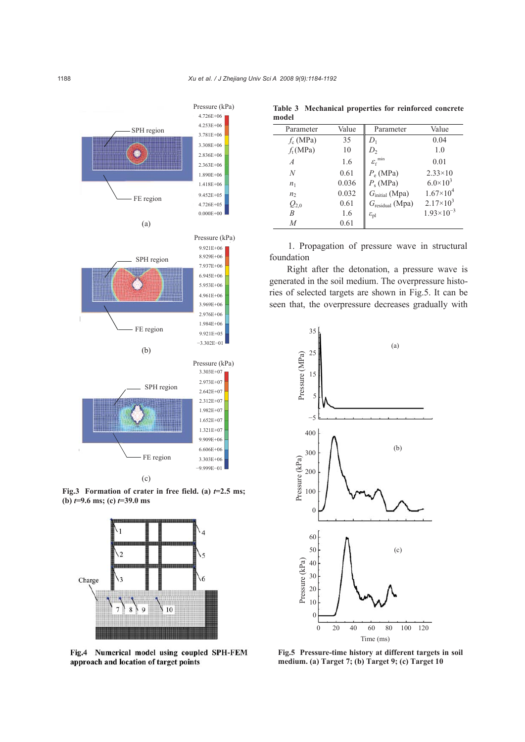

**Fig.3** Formation of crater in free field. (a)  $t=2.5$  ms; **(b)** *t***=9.6 ms; (c)** *t***=39.0 ms** 



Fig.4 Numerical model using coupled SPH-FEM approach and location of target points

| Value | Parameter                 | Value                               |
|-------|---------------------------|-------------------------------------|
| 35    | $D_1$                     | 0.04                                |
| 10    | $D_{2}$                   | 1.0                                 |
| 1.6   |                           | 0.01                                |
| 0.61  | $P_e$ (MPa)               | $2.33 \times 10$                    |
| 0.036 | $P_s$ (MPa)               | $6.0 \times 10^3$                   |
| 0.032 | $Ginitial$ (Mpa)          | $1.67\times10^{4}$                  |
| 0.61  | $G_{residual}$ (Mpa)      | $2.17\times10^{3}$                  |
| 1.6   | $\varepsilon_{\text{pl}}$ | $1.93\times10^{-3}$                 |
| 0.61  |                           |                                     |
|       |                           | $\mathcal{E}_{\rm f}^{\;\;\rm min}$ |

**Table 3 Mechanical properties for reinforced concrete model** 

1. Propagation of pressure wave in structural foundation

Right after the detonation, a pressure wave is generated in the soil medium. The overpressure histories of selected targets are shown in Fig.5. It can be seen that, the overpressure decreases gradually with



**Fig.5 Pressure-time history at different targets in soil medium. (a) Target 7; (b) Target 9; (c) Target 10**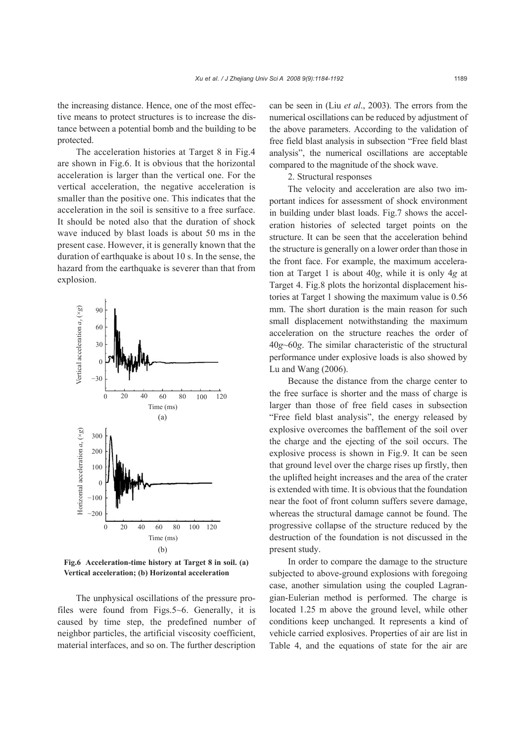the increasing distance. Hence, one of the most effective means to protect structures is to increase the distance between a potential bomb and the building to be protected.

The acceleration histories at Target 8 in Fig.4 are shown in Fig.6. It is obvious that the horizontal acceleration is larger than the vertical one. For the vertical acceleration, the negative acceleration is smaller than the positive one. This indicates that the acceleration in the soil is sensitive to a free surface. It should be noted also that the duration of shock wave induced by blast loads is about 50 ms in the present case. However, it is generally known that the duration of earthquake is about 10 s. In the sense, the hazard from the earthquake is severer than that from explosion.



**Fig.6 Acceleration-time history at Target 8 in soil. (a) Vertical acceleration; (b) Horizontal acceleration** 

The unphysical oscillations of the pressure profiles were found from Figs.5~6. Generally, it is caused by time step, the predefined number of neighbor particles, the artificial viscosity coefficient, material interfaces, and so on. The further description

can be seen in (Liu *et al*., 2003). The errors from the numerical oscillations can be reduced by adjustment of the above parameters. According to the validation of free field blast analysis in subsection "Free field blast analysis", the numerical oscillations are acceptable compared to the magnitude of the shock wave.

2. Structural responses

The velocity and acceleration are also two important indices for assessment of shock environment in building under blast loads. Fig.7 shows the acceleration histories of selected target points on the structure. It can be seen that the acceleration behind the structure is generally on a lower order than those in the front face. For example, the maximum acceleration at Target 1 is about 40*g*, while it is only 4*g* at Target 4. Fig.8 plots the horizontal displacement histories at Target 1 showing the maximum value is 0.56 mm. The short duration is the main reason for such small displacement notwithstanding the maximum acceleration on the structure reaches the order of 40*g*~60*g*. The similar characteristic of the structural performance under explosive loads is also showed by Lu and Wang (2006).

Because the distance from the charge center to the free surface is shorter and the mass of charge is larger than those of free field cases in subsection "Free field blast analysis", the energy released by explosive overcomes the bafflement of the soil over the charge and the ejecting of the soil occurs. The explosive process is shown in Fig.9. It can be seen that ground level over the charge rises up firstly, then the uplifted height increases and the area of the crater is extended with time. It is obvious that the foundation near the foot of front column suffers severe damage, whereas the structural damage cannot be found. The progressive collapse of the structure reduced by the destruction of the foundation is not discussed in the present study.

In order to compare the damage to the structure subjected to above-ground explosions with foregoing case, another simulation using the coupled Lagrangian-Eulerian method is performed. The charge is located 1.25 m above the ground level, while other conditions keep unchanged. It represents a kind of vehicle carried explosives. Properties of air are list in Table 4, and the equations of state for the air are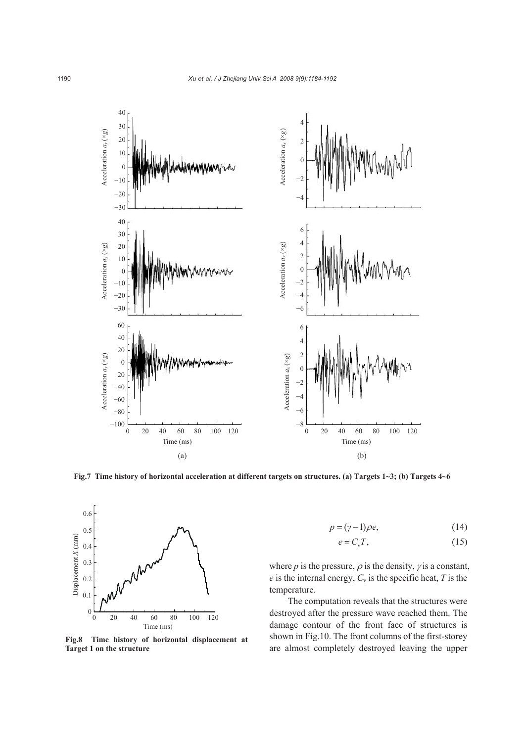



**Fig.8 Time history of horizontal displacement at Target 1 on the structure**

$$
p = (\gamma - 1)\rho e,\tag{14}
$$

$$
e = C_v T,\tag{15}
$$

where  $p$  is the pressure,  $\rho$  is the density,  $\gamma$  is a constant,  $e$  is the internal energy,  $C_v$  is the specific heat,  $T$  is the temperature.

The computation reveals that the structures were destroyed after the pressure wave reached them. The damage contour of the front face of structures is shown in Fig.10. The front columns of the first-storey are almost completely destroyed leaving the upper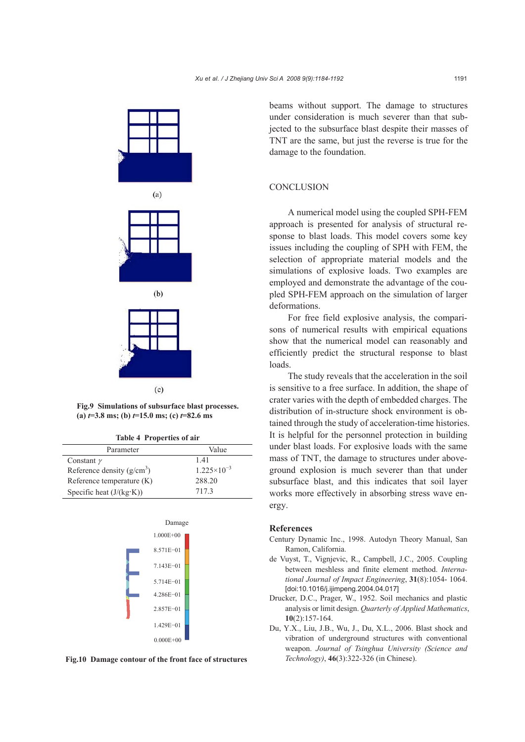





 $(c)$ 

**Fig.9 Simulations of subsurface blast processes.**   $(a)$   $t=3.8$  ms; (b)  $t=15.0$  ms; (c)  $t=82.6$  ms

| Parameter                   | Value                  |
|-----------------------------|------------------------|
| Constant $\gamma$           | 141                    |
| Reference density $(g/cm3)$ | $1.225 \times 10^{-3}$ |
| Reference temperature $(K)$ | 288.20                 |
| Specific heat $(J/(kg·K))$  | 7173                   |





beams without support. The damage to structures under consideration is much severer than that subjected to the subsurface blast despite their masses of TNT are the same, but just the reverse is true for the damage to the foundation.

# **CONCLUSION**

A numerical model using the coupled SPH-FEM approach is presented for analysis of structural response to blast loads. This model covers some key issues including the coupling of SPH with FEM, the selection of appropriate material models and the simulations of explosive loads. Two examples are employed and demonstrate the advantage of the coupled SPH-FEM approach on the simulation of larger deformations.

For free field explosive analysis, the comparisons of numerical results with empirical equations show that the numerical model can reasonably and efficiently predict the structural response to blast loads.

The study reveals that the acceleration in the soil is sensitive to a free surface. In addition, the shape of crater varies with the depth of embedded charges. The distribution of in-structure shock environment is obtained through the study of acceleration-time histories. It is helpful for the personnel protection in building under blast loads. For explosive loads with the same mass of TNT, the damage to structures under aboveground explosion is much severer than that under subsurface blast, and this indicates that soil layer works more effectively in absorbing stress wave energy.

#### **References**

- Century Dynamic Inc., 1998. Autodyn Theory Manual, San Ramon, California.
- de Vuyst, T., Vignjevic, R., Campbell, J.C., 2005. Coupling between meshless and finite element method. *International Journal of Impact Engineering*, **31**(8):1054- 1064. [doi:10.1016/j.ijimpeng.2004.04.017]
- Drucker, D.C., Prager, W., 1952. Soil mechanics and plastic analysis or limit design. *Quarterly of Applied Mathematics*, **10**(2):157-164.
- Du, Y.X., Liu, J.B., Wu, J., Du, X.L., 2006. Blast shock and vibration of underground structures with conventional weapon. *Journal of Tsinghua University (Science and Technology)*, **46**(3):322-326 (in Chinese).